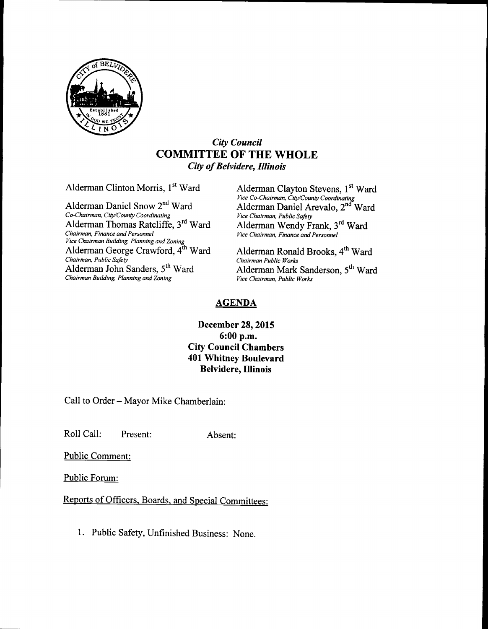

## City Council COMMITTEE OF THE WHOLE City of Belvidere, Illinois

Co-Chairman, City/County Coordinating Vice Chairman, Public Safety Alderman Thomas Ratcliffe, 3<sup>rd</sup> Ward Chairman, Finance and Personnel *Vice Chairman Building, Planning and Zoning*<br>Alderman George Crawford, 4<sup>th</sup> Chairman, Public Safety<br>
Chairman Public Works<br>
Alderman John Sanders, 5<sup>th</sup> Ward<br>
Alderman Mark Chairman Building, Planning and Zoning

Alderman Clinton Morris, 1<sup>st</sup> Ward Alderman Clayton Stevens, 1<sup>st</sup> Ward Alderman Daniel Snow 2<sup>nd</sup> Ward <sup>Vice Co-Chairman, City/County Coordinating<br>Alderman Daniel Arevalo, 2<sup>nd</sup> Ward</sup> Alderman Wendy Frank, 3<sup>rd</sup> Ward Vice Chairman, Finance and Personnel

> Alderman Ronald Brooks, 4<sup>th</sup> Ward Alderman Mark Sanderson, 5<sup>th</sup> Ward Vice Chairman, Public Works

## AGENDA

## December 28, 2015 6: 00 p.m. City Council Chambers 401 Whitney Boulevard Belvidere, Illinois

Call to Order— Mayor Mike Chamberlain:

Roll Call: Present: Absent:

Public Comment:

Public Forum:

Reports of Officers, Boards, and Special Committees:

1. Public Safety, Unfinished Business: None.